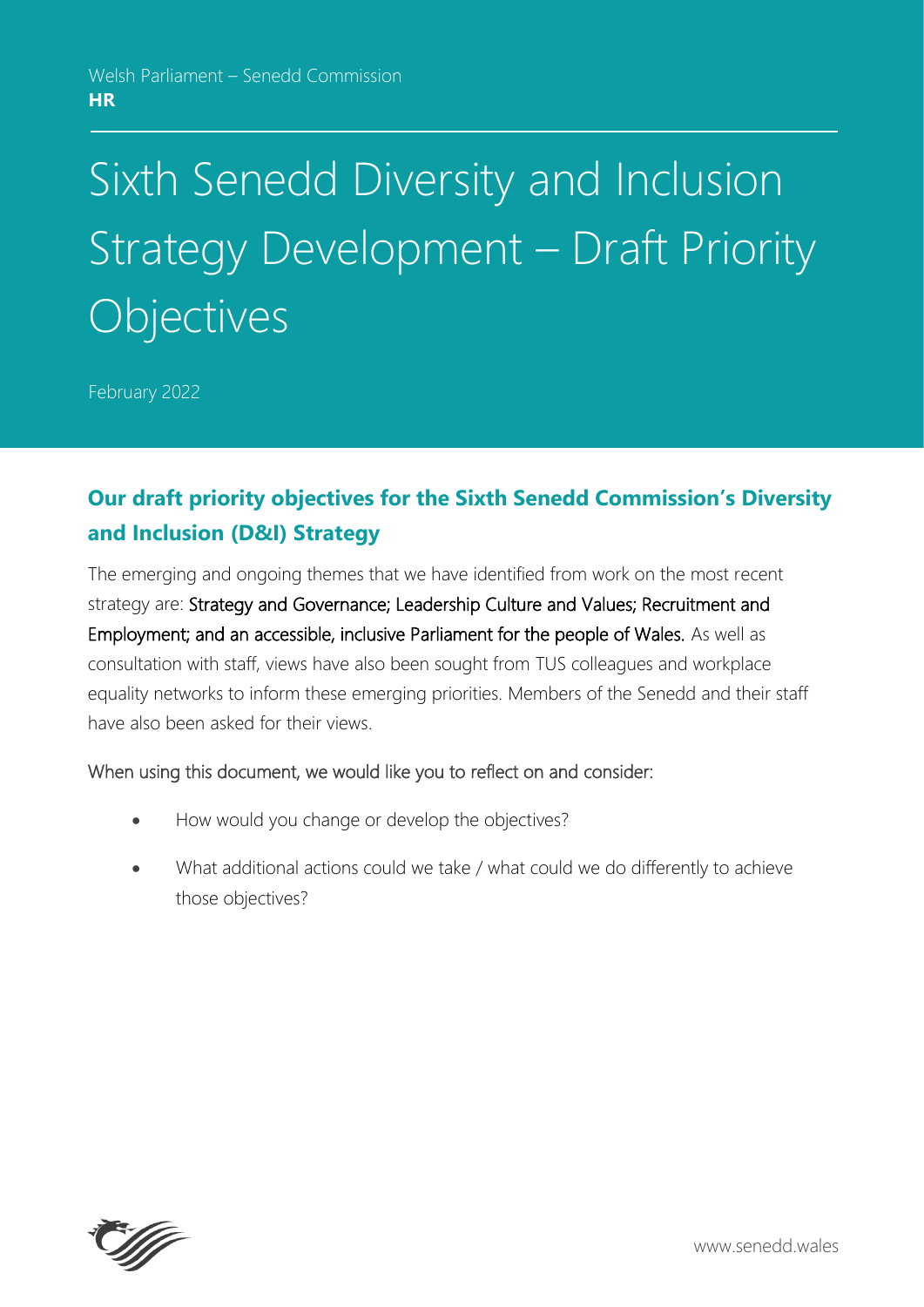# Sixth Senedd Diversity and Inclusion Strategy Development – Draft Priority **Objectives**

February 2022

# **Our draft priority objectives for the Sixth Senedd Commission's Diversity and Inclusion (D&I) Strategy**

The emerging and ongoing themes that we have identified from work on the most recent strategy are: Strategy and Governance; Leadership Culture and Values; Recruitment and Employment; and an accessible, inclusive Parliament for the people of Wales. As well as consultation with staff, views have also been sought from TUS colleagues and workplace equality networks to inform these emerging priorities. Members of the Senedd and their staff have also been asked for their views.

#### When using this document, we would like you to reflect on and consider:

- How would you change or develop the objectives?
- What additional actions could we take / what could we do differently to achieve those objectives?

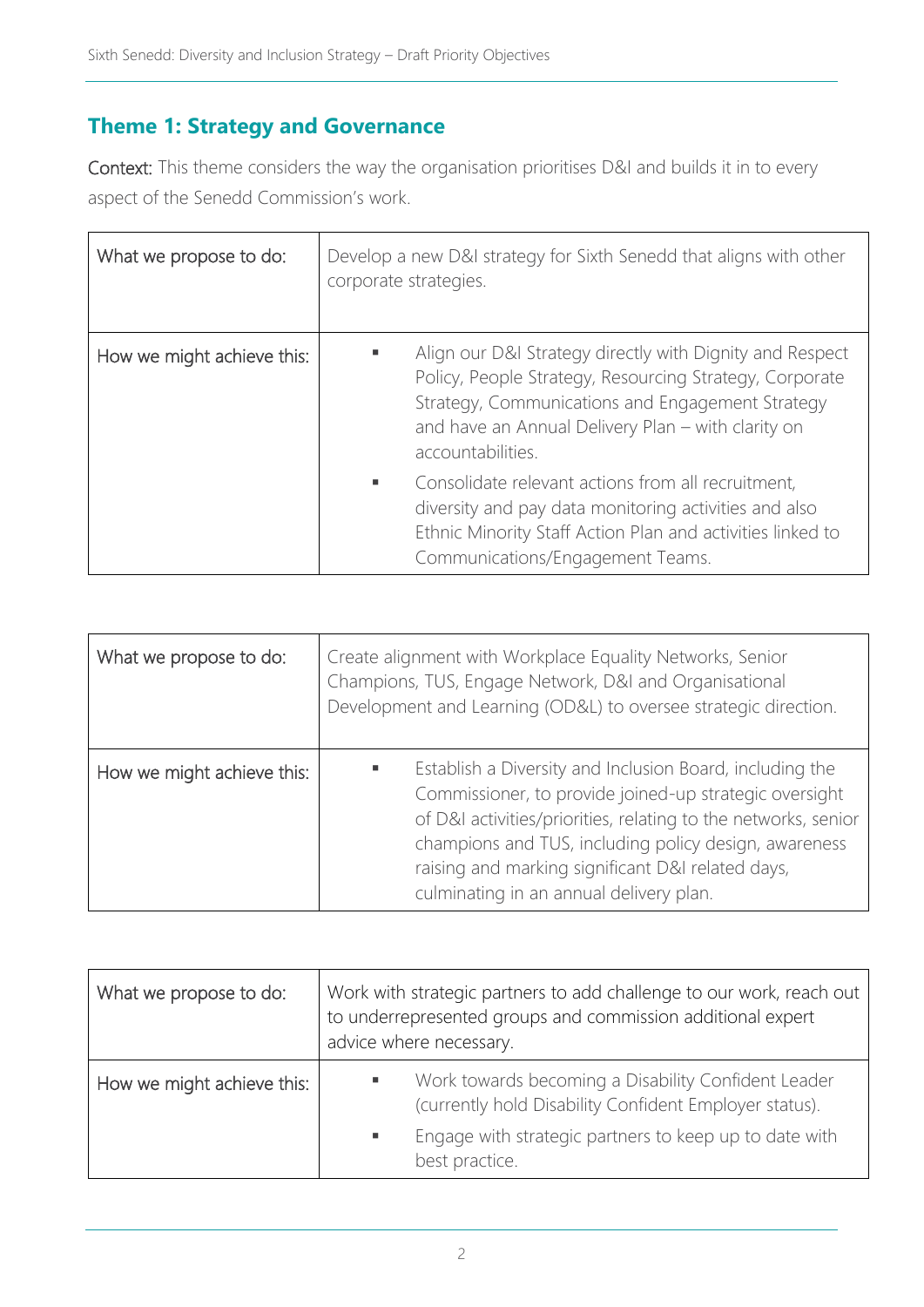## **Theme 1: Strategy and Governance**

Context: This theme considers the way the organisation prioritises D&I and builds it in to every aspect of the Senedd Commission's work.

| What we propose to do:     | Develop a new D&I strategy for Sixth Senedd that aligns with other<br>corporate strategies.                                                                                                                                                             |
|----------------------------|---------------------------------------------------------------------------------------------------------------------------------------------------------------------------------------------------------------------------------------------------------|
| How we might achieve this: | Align our D&I Strategy directly with Dignity and Respect<br>в<br>Policy, People Strategy, Resourcing Strategy, Corporate<br>Strategy, Communications and Engagement Strategy<br>and have an Annual Delivery Plan - with clarity on<br>accountabilities. |
|                            | Consolidate relevant actions from all recruitment,<br>٠<br>diversity and pay data monitoring activities and also<br>Ethnic Minority Staff Action Plan and activities linked to<br>Communications/Engagement Teams.                                      |

| What we propose to do:     | Create alignment with Workplace Equality Networks, Senior<br>Champions, TUS, Engage Network, D&I and Organisational<br>Development and Learning (OD&L) to oversee strategic direction.                                                                                                                                                        |
|----------------------------|-----------------------------------------------------------------------------------------------------------------------------------------------------------------------------------------------------------------------------------------------------------------------------------------------------------------------------------------------|
| How we might achieve this: | Establish a Diversity and Inclusion Board, including the<br>Commissioner, to provide joined-up strategic oversight<br>of D&I activities/priorities, relating to the networks, senior<br>champions and TUS, including policy design, awareness<br>raising and marking significant D&I related days,<br>culminating in an annual delivery plan. |

| What we propose to do:     | Work with strategic partners to add challenge to our work, reach out<br>to underrepresented groups and commission additional expert<br>advice where necessary.                                      |
|----------------------------|-----------------------------------------------------------------------------------------------------------------------------------------------------------------------------------------------------|
| How we might achieve this: | Work towards becoming a Disability Confident Leader<br>ш<br>(currently hold Disability Confident Employer status).<br>Engage with strategic partners to keep up to date with<br>٠<br>best practice. |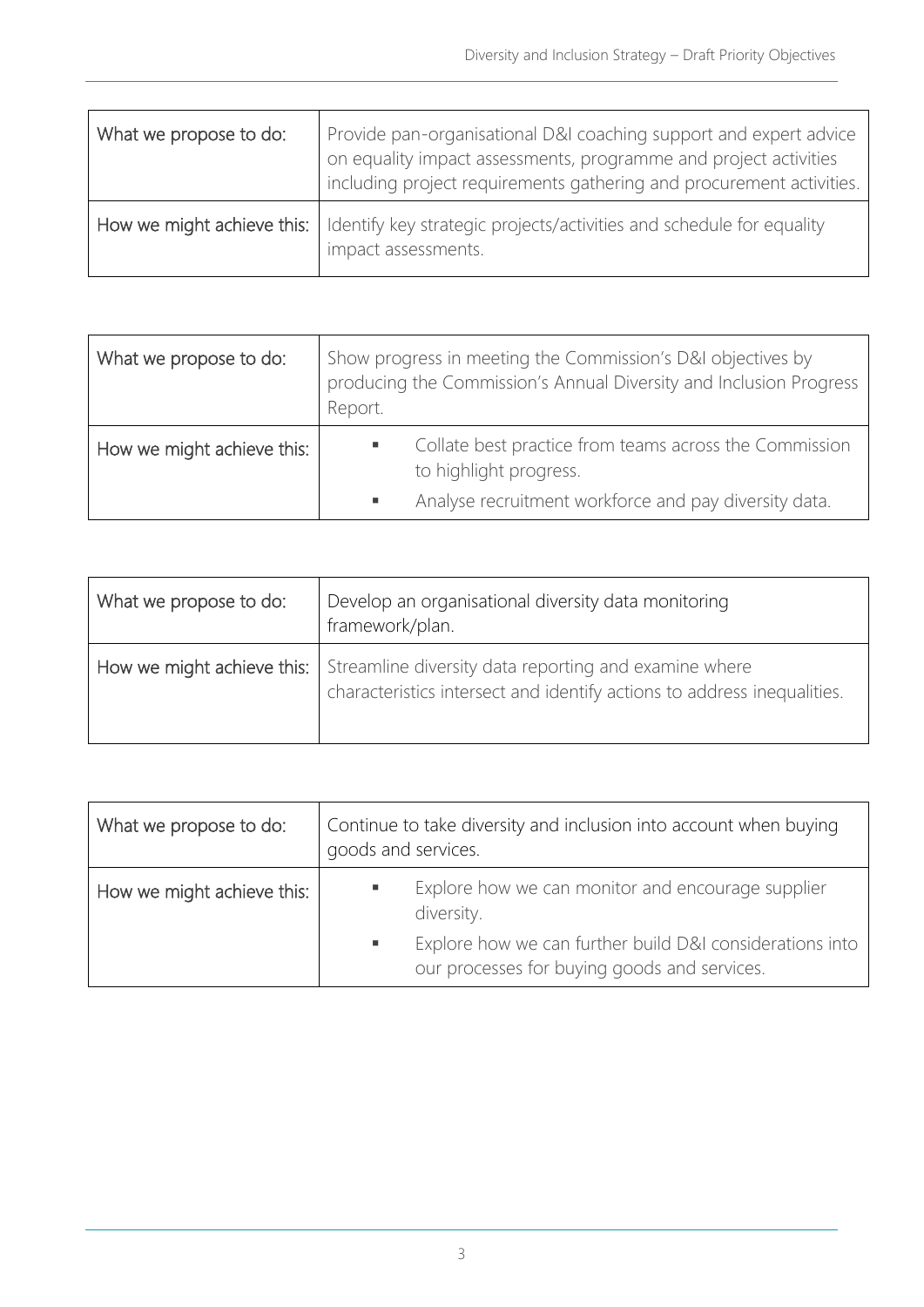| What we propose to do:     | Provide pan-organisational D&I coaching support and expert advice<br>on equality impact assessments, programme and project activities<br>including project requirements gathering and procurement activities. |
|----------------------------|---------------------------------------------------------------------------------------------------------------------------------------------------------------------------------------------------------------|
| How we might achieve this: | I Identify key strategic projects/activities and schedule for equality<br>impact assessments.                                                                                                                 |

| What we propose to do:     | Show progress in meeting the Commission's D&I objectives by<br>producing the Commission's Annual Diversity and Inclusion Progress<br>Report.   |
|----------------------------|------------------------------------------------------------------------------------------------------------------------------------------------|
| How we might achieve this: | Collate best practice from teams across the Commission<br>to highlight progress.<br>Analyse recruitment workforce and pay diversity data.<br>п |

| What we propose to do: | Develop an organisational diversity data monitoring<br>framework/plan.                                                                                        |
|------------------------|---------------------------------------------------------------------------------------------------------------------------------------------------------------|
|                        | How we might achieve this:   Streamline diversity data reporting and examine where<br>characteristics intersect and identify actions to address inequalities. |

| What we propose to do:     | Continue to take diversity and inclusion into account when buying<br>goods and services.                      |
|----------------------------|---------------------------------------------------------------------------------------------------------------|
| How we might achieve this: | Explore how we can monitor and encourage supplier<br>diversity.                                               |
|                            | Explore how we can further build D&I considerations into<br>ш<br>our processes for buying goods and services. |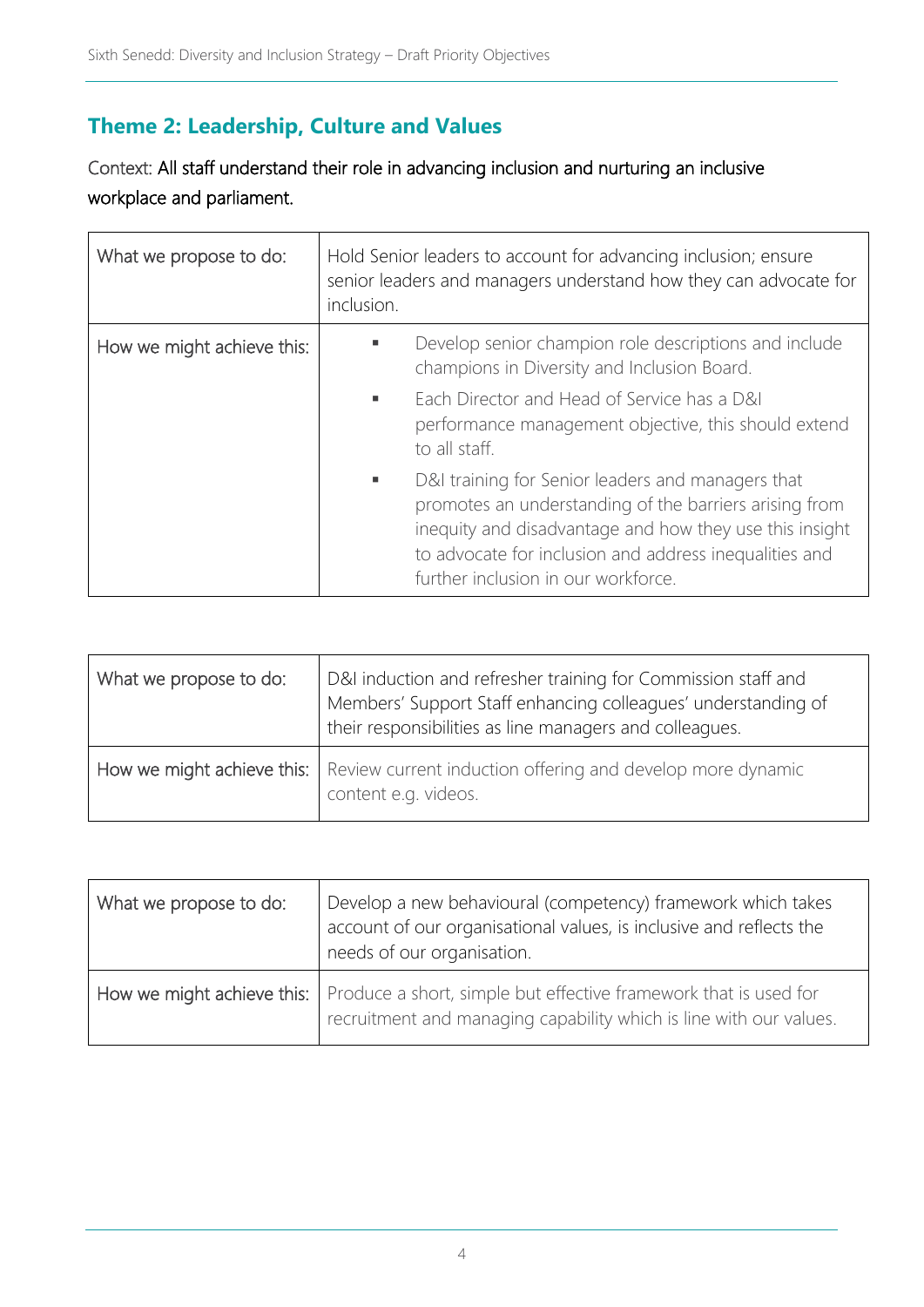## **Theme 2: Leadership, Culture and Values**

Context: All staff understand their role in advancing inclusion and nurturing an inclusive workplace and parliament.

| What we propose to do:     | Hold Senior leaders to account for advancing inclusion; ensure<br>senior leaders and managers understand how they can advocate for<br>inclusion.                                                                                                                             |
|----------------------------|------------------------------------------------------------------------------------------------------------------------------------------------------------------------------------------------------------------------------------------------------------------------------|
| How we might achieve this: | Develop senior champion role descriptions and include<br>champions in Diversity and Inclusion Board.                                                                                                                                                                         |
|                            | Each Director and Head of Service has a D&I<br>٠<br>performance management objective, this should extend<br>to all staff.                                                                                                                                                    |
|                            | D&I training for Senior leaders and managers that<br>٠<br>promotes an understanding of the barriers arising from<br>inequity and disadvantage and how they use this insight<br>to advocate for inclusion and address inequalities and<br>further inclusion in our workforce. |

| What we propose to do: | D&I induction and refresher training for Commission staff and<br>Members' Support Staff enhancing colleagues' understanding of<br>their responsibilities as line managers and colleagues. |
|------------------------|-------------------------------------------------------------------------------------------------------------------------------------------------------------------------------------------|
|                        | How we might achieve this:   Review current induction offering and develop more dynamic<br>content e.g. videos.                                                                           |

| What we propose to do: | Develop a new behavioural (competency) framework which takes<br>account of our organisational values, is inclusive and reflects the<br>needs of our organisation.   |
|------------------------|---------------------------------------------------------------------------------------------------------------------------------------------------------------------|
|                        | How we might achieve this:   Produce a short, simple but effective framework that is used for<br>recruitment and managing capability which is line with our values. |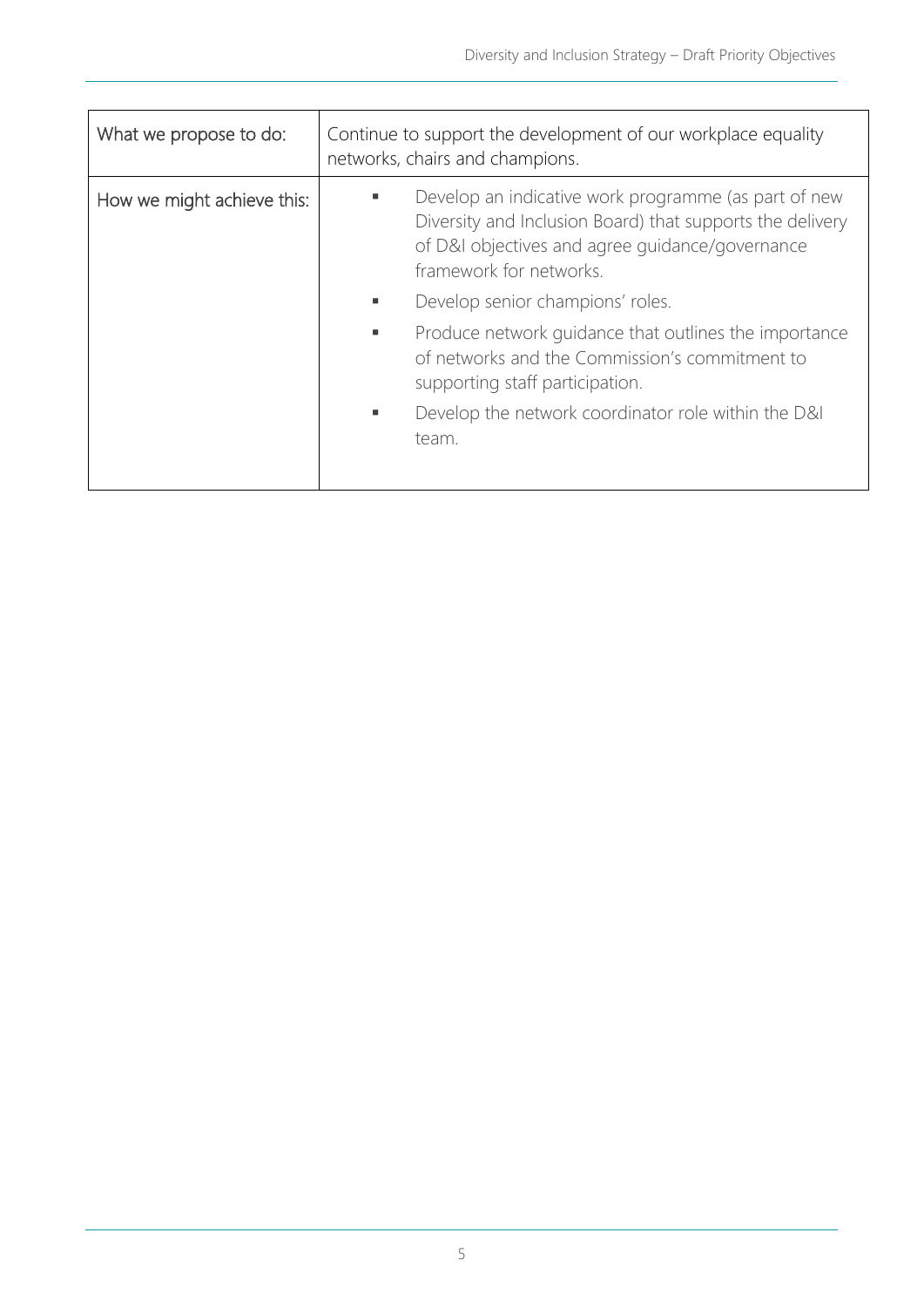| What we propose to do:     | Continue to support the development of our workplace equality<br>networks, chairs and champions.                                                                                                |
|----------------------------|-------------------------------------------------------------------------------------------------------------------------------------------------------------------------------------------------|
| How we might achieve this: | Develop an indicative work programme (as part of new<br>Diversity and Inclusion Board) that supports the delivery<br>of D&I objectives and agree guidance/governance<br>framework for networks. |
|                            | Develop senior champions' roles.<br>ш                                                                                                                                                           |
|                            | Produce network guidance that outlines the importance<br>ш<br>of networks and the Commission's commitment to<br>supporting staff participation.                                                 |
|                            | Develop the network coordinator role within the D&I<br>team.                                                                                                                                    |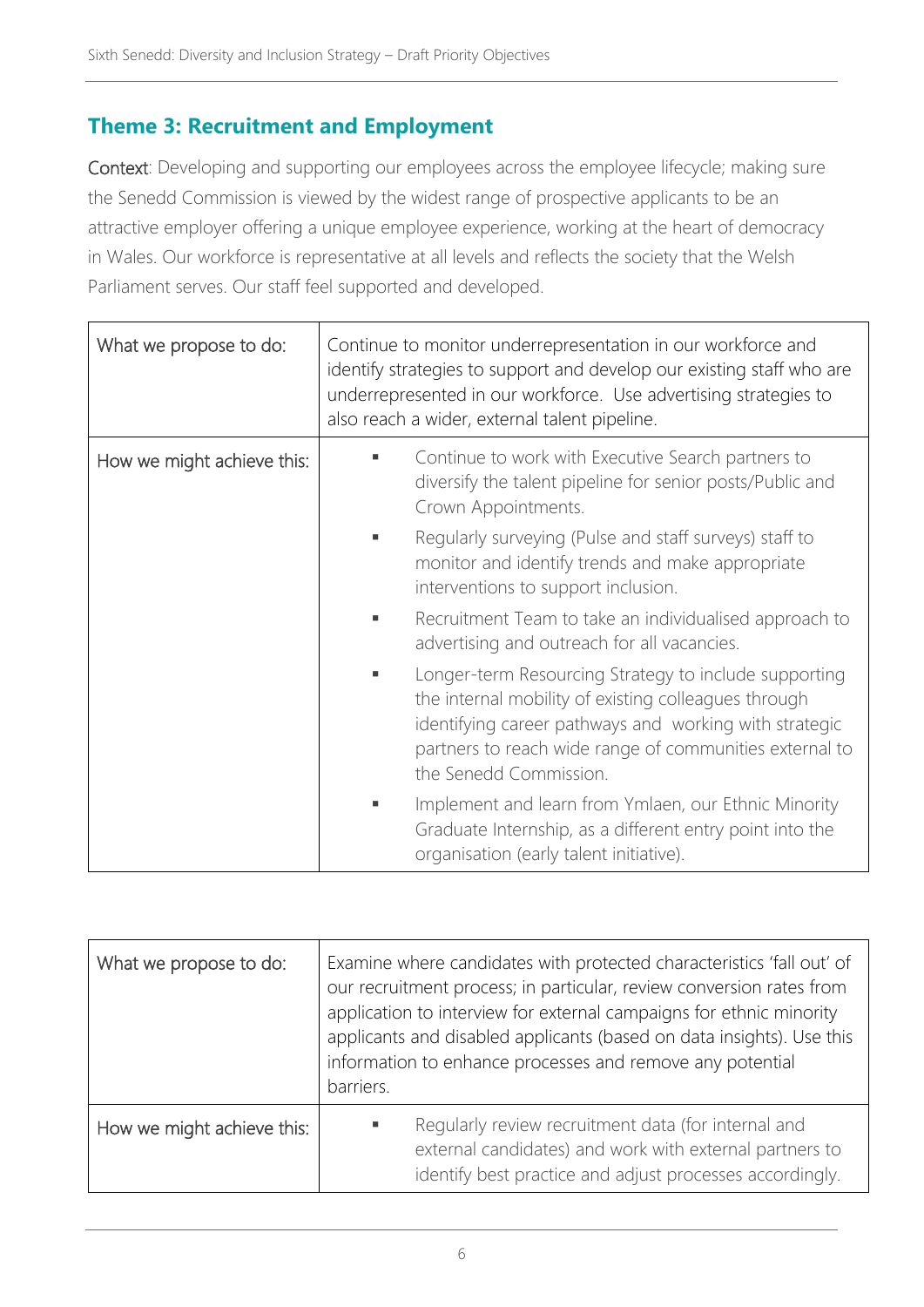#### **Theme 3: Recruitment and Employment**

Context: Developing and supporting our employees across the employee lifecycle; making sure the Senedd Commission is viewed by the widest range of prospective applicants to be an attractive employer offering a unique employee experience, working at the heart of democracy in Wales. Our workforce is representative at all levels and reflects the society that the Welsh Parliament serves. Our staff feel supported and developed.

| What we propose to do:     | Continue to monitor underrepresentation in our workforce and<br>identify strategies to support and develop our existing staff who are<br>underrepresented in our workforce. Use advertising strategies to<br>also reach a wider, external talent pipeline.   |
|----------------------------|--------------------------------------------------------------------------------------------------------------------------------------------------------------------------------------------------------------------------------------------------------------|
| How we might achieve this: | Continue to work with Executive Search partners to<br>diversify the talent pipeline for senior posts/Public and<br>Crown Appointments.                                                                                                                       |
|                            | Regularly surveying (Pulse and staff surveys) staff to<br>monitor and identify trends and make appropriate<br>interventions to support inclusion.                                                                                                            |
|                            | Recruitment Team to take an individualised approach to<br>advertising and outreach for all vacancies.                                                                                                                                                        |
|                            | Longer-term Resourcing Strategy to include supporting<br>the internal mobility of existing colleagues through<br>identifying career pathways and working with strategic<br>partners to reach wide range of communities external to<br>the Senedd Commission. |
|                            | Implement and learn from Ymlaen, our Ethnic Minority<br>Graduate Internship, as a different entry point into the<br>organisation (early talent initiative).                                                                                                  |

| What we propose to do:     | Examine where candidates with protected characteristics 'fall out' of<br>our recruitment process; in particular, review conversion rates from<br>application to interview for external campaigns for ethnic minority<br>applicants and disabled applicants (based on data insights). Use this<br>information to enhance processes and remove any potential<br>barriers. |  |
|----------------------------|-------------------------------------------------------------------------------------------------------------------------------------------------------------------------------------------------------------------------------------------------------------------------------------------------------------------------------------------------------------------------|--|
| How we might achieve this: | Regularly review recruitment data (for internal and<br>external candidates) and work with external partners to<br>identify best practice and adjust processes accordingly.                                                                                                                                                                                              |  |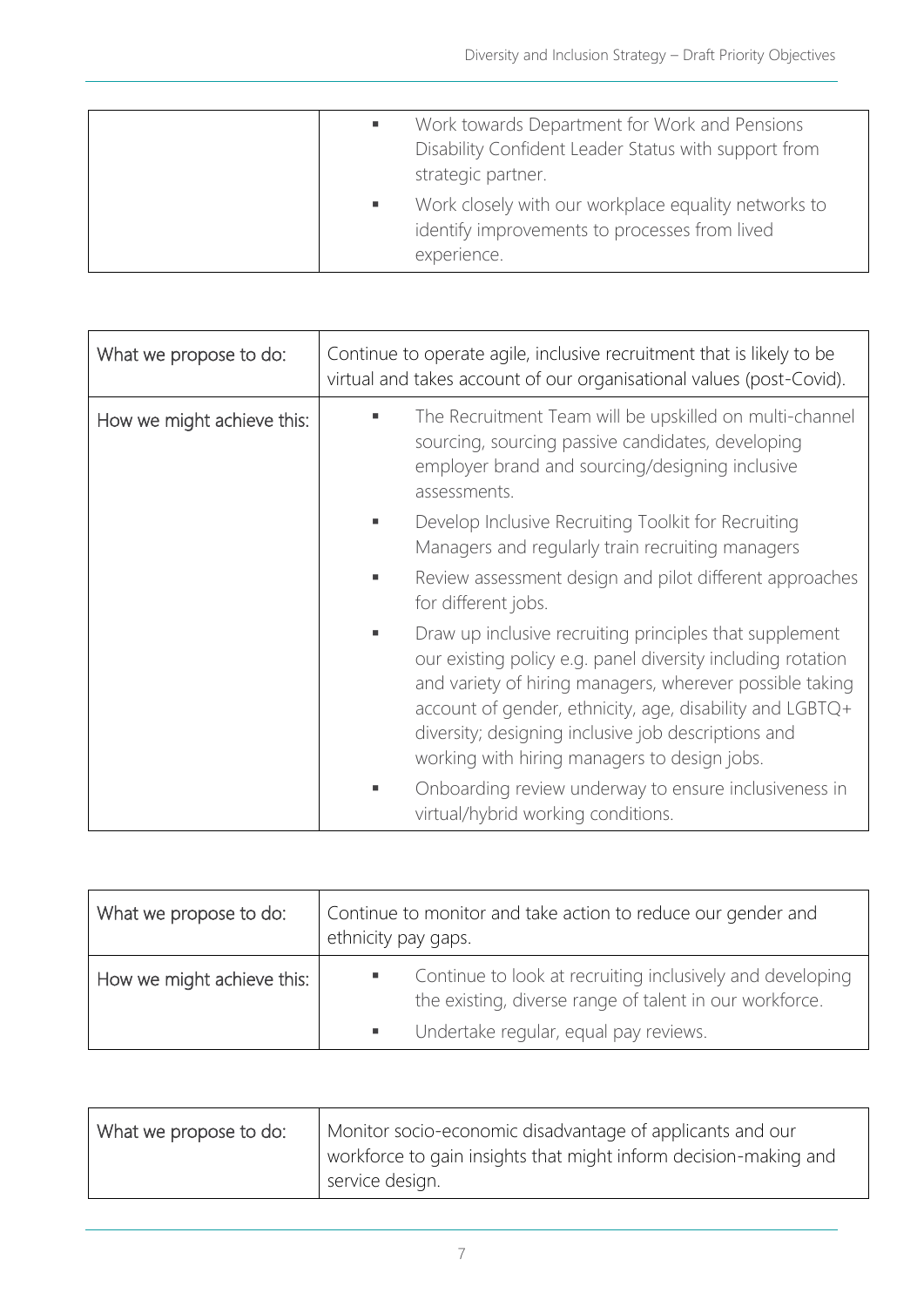| Work towards Department for Work and Pensions<br>Disability Confident Leader Status with support from<br>strategic partner. |
|-----------------------------------------------------------------------------------------------------------------------------|
| Work closely with our workplace equality networks to<br>identify improvements to processes from lived<br>experience.        |

| What we propose to do:     | Continue to operate agile, inclusive recruitment that is likely to be<br>virtual and takes account of our organisational values (post-Covid).                                                                                                                                                                                                         |
|----------------------------|-------------------------------------------------------------------------------------------------------------------------------------------------------------------------------------------------------------------------------------------------------------------------------------------------------------------------------------------------------|
| How we might achieve this: | The Recruitment Team will be upskilled on multi-channel<br>sourcing, sourcing passive candidates, developing<br>employer brand and sourcing/designing inclusive<br>assessments.                                                                                                                                                                       |
|                            | Develop Inclusive Recruiting Toolkit for Recruiting<br>Managers and regularly train recruiting managers                                                                                                                                                                                                                                               |
|                            | Review assessment design and pilot different approaches<br>for different jobs.                                                                                                                                                                                                                                                                        |
|                            | Draw up inclusive recruiting principles that supplement<br>our existing policy e.g. panel diversity including rotation<br>and variety of hiring managers, wherever possible taking<br>account of gender, ethnicity, age, disability and LGBTQ+<br>diversity; designing inclusive job descriptions and<br>working with hiring managers to design jobs. |
|                            | Onboarding review underway to ensure inclusiveness in<br>virtual/hybrid working conditions.                                                                                                                                                                                                                                                           |

| What we propose to do:     | Continue to monitor and take action to reduce our gender and<br>ethnicity pay gaps.                                                                                |  |
|----------------------------|--------------------------------------------------------------------------------------------------------------------------------------------------------------------|--|
| How we might achieve this: | Continue to look at recruiting inclusively and developing<br>٠<br>the existing, diverse range of talent in our workforce.<br>Undertake regular, equal pay reviews. |  |

| What we propose to do: | Monitor socio-economic disadvantage of applicants and our<br>workforce to gain insights that might inform decision-making and<br>service design. |
|------------------------|--------------------------------------------------------------------------------------------------------------------------------------------------|
|------------------------|--------------------------------------------------------------------------------------------------------------------------------------------------|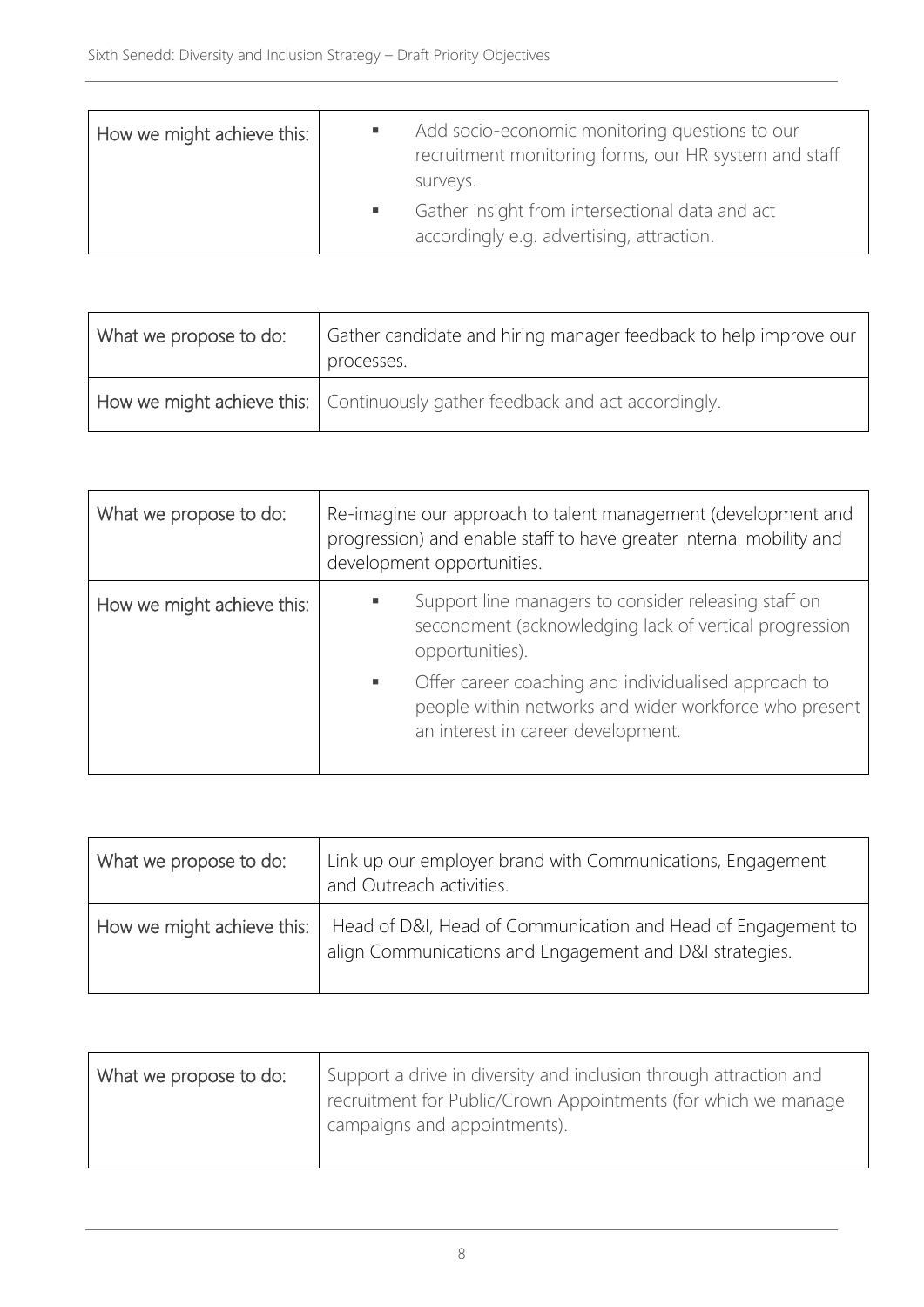| How we might achieve this: | Add socio-economic monitoring questions to our<br>recruitment monitoring forms, our HR system and staff<br>surveys. |
|----------------------------|---------------------------------------------------------------------------------------------------------------------|
|                            | Gather insight from intersectional data and act<br>accordingly e.g. advertising, attraction.                        |

| What we propose to do: | Gather candidate and hiring manager feedback to help improve our<br>processes. |  |
|------------------------|--------------------------------------------------------------------------------|--|
|                        | How we might achieve this:   Continuously gather feedback and act accordingly. |  |

| What we propose to do:     | Re-imagine our approach to talent management (development and<br>progression) and enable staff to have greater internal mobility and<br>development opportunities. |  |
|----------------------------|--------------------------------------------------------------------------------------------------------------------------------------------------------------------|--|
| How we might achieve this: | Support line managers to consider releasing staff on<br>secondment (acknowledging lack of vertical progression<br>opportunities).                                  |  |
|                            | Offer career coaching and individualised approach to<br>л<br>people within networks and wider workforce who present<br>an interest in career development.          |  |

| What we propose to do:     | Link up our employer brand with Communications, Engagement<br>and Outreach activities.                                  |
|----------------------------|-------------------------------------------------------------------------------------------------------------------------|
| How we might achieve this: | Head of D&I, Head of Communication and Head of Engagement to<br>align Communications and Engagement and D&I strategies. |

| What we propose to do: | Support a drive in diversity and inclusion through attraction and<br>recruitment for Public/Crown Appointments (for which we manage<br>campaigns and appointments). |
|------------------------|---------------------------------------------------------------------------------------------------------------------------------------------------------------------|
|------------------------|---------------------------------------------------------------------------------------------------------------------------------------------------------------------|